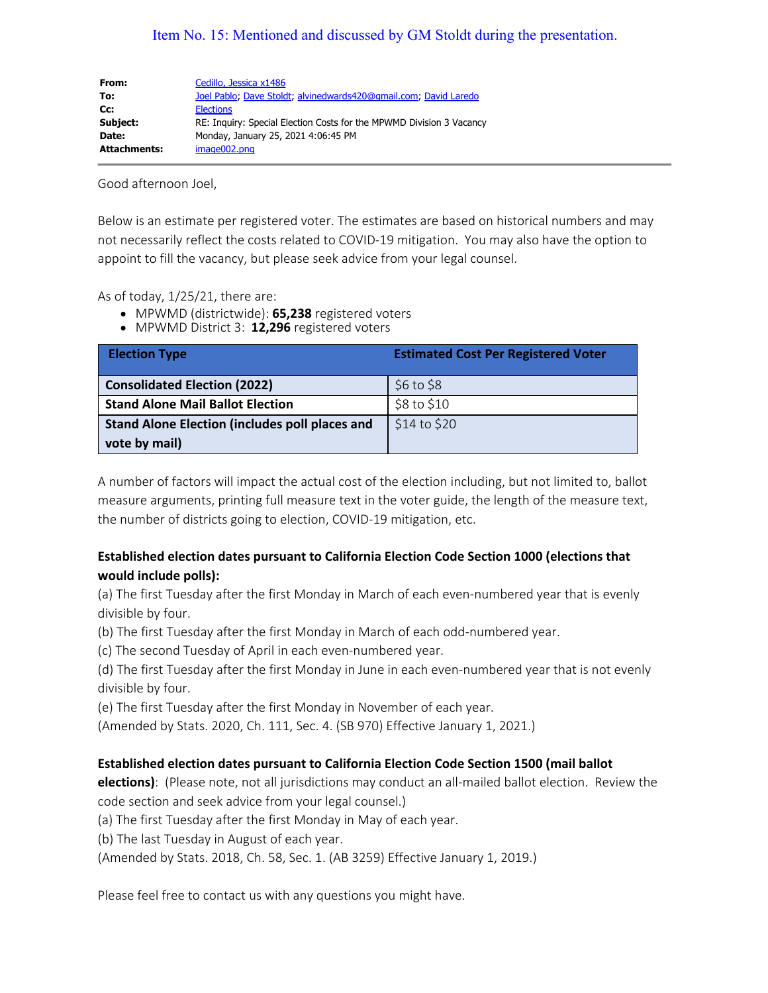## Item No. 15: Mentioned and discussed by GM Stoldt during the presentation.

| From:               | Cedillo, Jessica x1486                                               |
|---------------------|----------------------------------------------------------------------|
| To:                 | Joel Pablo: Dave Stoldt; alvinedwards420@qmail.com; David Laredo     |
| Cc:                 | <b>Elections</b>                                                     |
| Subject:            | RE: Inquiry: Special Election Costs for the MPWMD Division 3 Vacancy |
| Date:               | Monday, January 25, 2021 4:06:45 PM                                  |
| <b>Attachments:</b> | image002.png                                                         |

Good afternoon Joel,

Below is an estimate per registered voter. The estimates are based on historical numbers and may not necessarily reflect the costs related to COVID-19 mitigation. You may also have the option to appoint to fill the vacancy, but please seek advice from your legal counsel.

As of today, 1/25/21, there are:

- MPWMD (districtwide): **65,238** registered voters
- MPWMD District 3: **12,296** registered voters

| <b>Election Type</b>                                  | <b>Estimated Cost Per Registered Voter</b> |
|-------------------------------------------------------|--------------------------------------------|
| <b>Consolidated Election (2022)</b>                   | \$6 to \$8\$                               |
| <b>Stand Alone Mail Ballot Election</b>               | \$8 to \$10                                |
| <b>Stand Alone Election (includes poll places and</b> | $$14$ to $$20$                             |
| vote by mail)                                         |                                            |

A number of factors will impact the actual cost of the election including, but not limited to, ballot measure arguments, printing full measure text in the voter guide, the length of the measure text, the number of districts going to election, COVID-19 mitigation, etc.

## **Established election dates pursuant to California Election Code Section 1000 (elections that would include polls):**

(a) The first Tuesday after the first Monday in March of each even-numbered year that is evenly divisible by four.

(b) The first Tuesday after the first Monday in March of each odd-numbered year.

(c) The second Tuesday of April in each even-numbered year.

(d) The first Tuesday after the first Monday in June in each even-numbered year that is not evenly divisible by four.

(e) The first Tuesday after the first Monday in November of each year.

(Amended by Stats. 2020, Ch. 111, Sec. 4. (SB 970) Effective January 1, 2021.)

## **Established election dates pursuant to California Election Code Section 1500 (mail ballot**

**elections)**: (Please note, not all jurisdictions may conduct an all-mailed ballot election. Review the code section and seek advice from your legal counsel.)

(a) The first Tuesday after the first Monday in May of each year.

(b) The last Tuesday in August of each year.

(Amended by Stats. 2018, Ch. 58, Sec. 1. (AB 3259) Effective January 1, 2019.)

Please feel free to contact us with any questions you might have.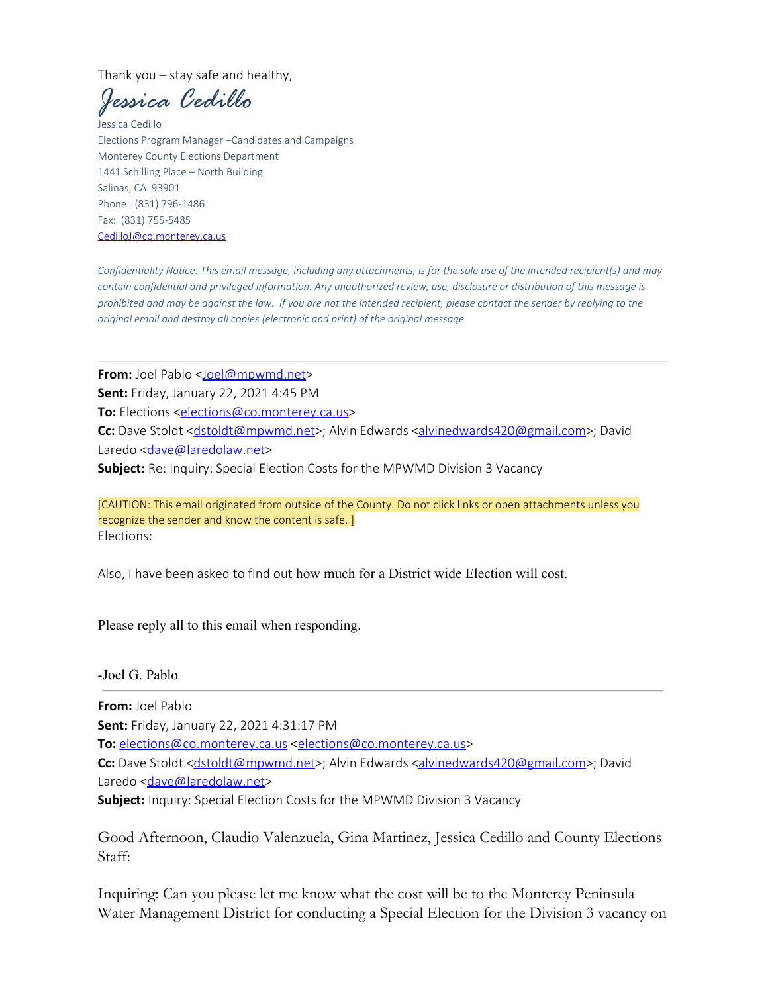Thank you – stay safe and healthy,

*Jessica Cedillo*

Jessica Cedillo Elections Program Manager –Candidates and Campaigns Monterey County Elections Department 1441 Schilling Place – North Building Salinas, CA 93901 Phone: (831) 796-1486 Fax: (831) 755-5485 [CedilloJ@co.monterey.ca.us](mailto:CedilloJ@co.monterey.ca.us)

*Confidentiality Notice: This email message, including any attachments, is for the sole use of the intended recipient(s) and may contain confidential and privileged information. Any unauthorized review, use, disclosure or distribution of this message is prohibited and may be against the law. If you are not the intended recipient, please contact the sender by replying to the original email and destroy all copies (electronic and print) of the original message.*

**From:** Joel Pablo [<Joel@mpwmd.net>](mailto:Joel@mpwmd.net)

**Sent:** Friday, January 22, 2021 4:45 PM

**To:** Elections [<elections@co.monterey.ca.us](mailto:elections@co.monterey.ca.us)>

**Cc:** Dave Stoldt [<dstoldt@mpwmd.net](mailto:dstoldt@mpwmd.net)>; Alvin Edwards <[alvinedwards420@gmail.com>](mailto:alvinedwards420@gmail.com); David Laredo [<dave@laredolaw.net](mailto:dave@laredolaw.net)>

**Subject:** Re: Inquiry: Special Election Costs for the MPWMD Division 3 Vacancy

[CAUTION: This email originated from outside of the County. Do not click links or open attachments unless you recognize the sender and know the content is safe. ] Elections:

Also, I have been asked to find out how much for a District wide Election will cost.

Please reply all to this email when responding.

-Joel G. Pablo

**From:** Joel Pablo **Sent:** Friday, January 22, 2021 4:31:17 PM

**To:** [elections@co.monterey.ca.us](mailto:elections@co.monterey.ca.us) [<elections@co.monterey.ca.us](mailto:elections@co.monterey.ca.us)>

Cc: Dave Stoldt [<dstoldt@mpwmd.net](mailto:dstoldt@mpwmd.net)>; Alvin Edwards <[alvinedwards420@gmail.com>](mailto:alvinedwards420@gmail.com); David Laredo [<dave@laredolaw.net](mailto:dave@laredolaw.net)>

**Subject:** Inquiry: Special Election Costs for the MPWMD Division 3 Vacancy

Good Afternoon, Claudio Valenzuela, Gina Martinez, Jessica Cedillo and County Elections Staff:

Inquiring: Can you please let me know what the cost will be to the Monterey Peninsula Water Management District for conducting a Special Election for the Division 3 vacancy on